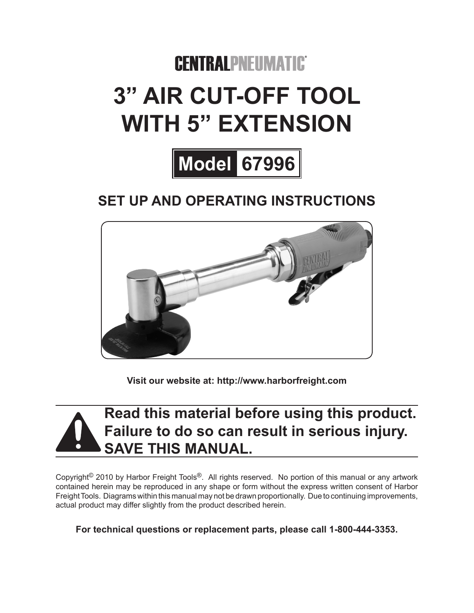# **CENTRALPNEUMATIC 3" Air cut-off tool With 5" extension**



# **Set up and Operating Instructions**



**Visit our website at: http://www.harborfreight.com**

# **Read this material before using this product. Failure to do so can result in serious injury. Save this manual.**

Copyright<sup>©</sup> 2010 by Harbor Freight Tools<sup>®</sup>. All rights reserved. No portion of this manual or any artwork contained herein may be reproduced in any shape or form without the express written consent of Harbor Freight Tools. Diagrams within this manual may not be drawn proportionally. Due to continuing improvements, actual product may differ slightly from the product described herein.

**For technical questions or replacement parts, please call 1-800-444-3353.**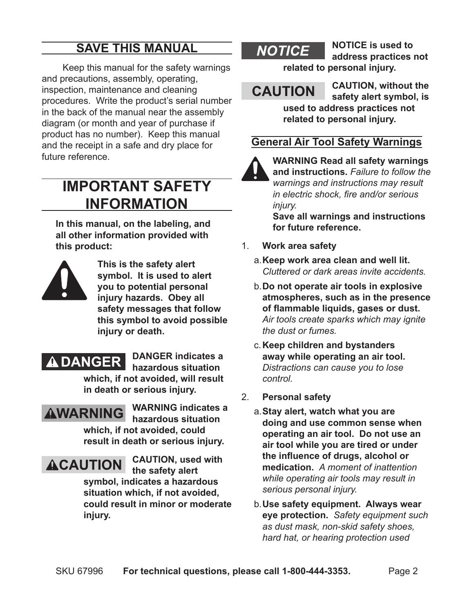# **Save This Manual**

Keep this manual for the safety warnings and precautions, assembly, operating, inspection, maintenance and cleaning procedures. Write the product's serial number in the back of the manual near the assembly diagram (or month and year of purchase if product has no number). Keep this manual and the receipt in a safe and dry place for future reference.

# **Important SAFETY Information**

**In this manual, on the labeling, and all other information provided with this product:**



 **This is the safety alert symbol. It is used to alert you to potential personal injury hazards. Obey all safety messages that follow this symbol to avoid possible injury or death.**

# **A DANGER DANGER** indicates a

**hazardous situation** 

**which, if not avoided, will result in death or serious injury.**

# **AWARNING**

**WARNING indicates a hazardous situation which, if not avoided, could result in death or serious injury.**

**ACAUTION** CAUTION, used with **the safety alert symbol, indicates a hazardous** 

**situation which, if not avoided, could result in minor or moderate injury.**

**NOTICE** NOTICE is used to **address practices not related to personal injury.**

**CAUTION** CAUTION, without the **safety alert symbol, is used to address practices not related to personal injury.**

#### **General Air Tool Safety Warnings**

#### **WARNING Read all safety warnings**

**and instructions.** *Failure to follow the warnings and instructions may result in electric shock, fire and/or serious injury.* 

**Save all warnings and instructions for future reference.**

- 1. **Work area safety**
	- a.**Keep work area clean and well lit.**  *Cluttered or dark areas invite accidents.*
	- b.**Do not operate air tools in explosive atmospheres, such as in the presence of flammable liquids, gases or dust.**  *Air tools create sparks which may ignite the dust or fumes.*
	- c.**Keep children and bystanders away while operating an air tool.**  *Distractions can cause you to lose control.*
- 2. **Personal safety**
	- a.**Stay alert, watch what you are doing and use common sense when operating an air tool. Do not use an air tool while you are tired or under the influence of drugs, alcohol or medication.** *A moment of inattention while operating air tools may result in serious personal injury.*
	- b.**Use safety equipment. Always wear eye protection.** *Safety equipment such as dust mask, non-skid safety shoes, hard hat, or hearing protection used*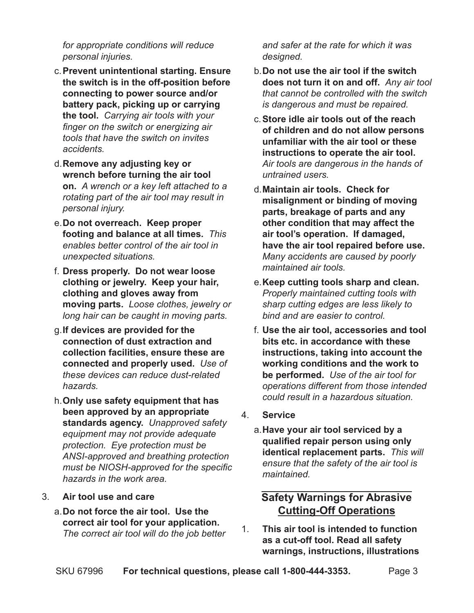*for appropriate conditions will reduce personal injuries.*

- c.**Prevent unintentional starting. Ensure the switch is in the off-position before connecting to power source and/or battery pack, picking up or carrying the tool.** *Carrying air tools with your finger on the switch or energizing air tools that have the switch on invites accidents.*
- d.**Remove any adjusting key or wrench before turning the air tool on.** *A wrench or a key left attached to a rotating part of the air tool may result in personal injury.*
- e.**Do not overreach. Keep proper footing and balance at all times.** *This enables better control of the air tool in unexpected situations.*
- f. **Dress properly. Do not wear loose clothing or jewelry. Keep your hair, clothing and gloves away from moving parts.** *Loose clothes, jewelry or long hair can be caught in moving parts.*
- g.**If devices are provided for the connection of dust extraction and collection facilities, ensure these are connected and properly used.** *Use of these devices can reduce dust-related hazards.*
- h.**Only use safety equipment that has been approved by an appropriate standards agency.** *Unapproved safety equipment may not provide adequate protection. Eye protection must be ANSI-approved and breathing protection must be NIOSH-approved for the specific hazards in the work area.*

#### 3. **Air tool use and care**

a.**Do not force the air tool. Use the correct air tool for your application.** *The correct air tool will do the job better* 

*and safer at the rate for which it was designed.*

- b.**Do not use the air tool if the switch does not turn it on and off.** *Any air tool that cannot be controlled with the switch is dangerous and must be repaired.*
- c.**Store idle air tools out of the reach of children and do not allow persons unfamiliar with the air tool or these instructions to operate the air tool.**  *Air tools are dangerous in the hands of untrained users.*
- d.**Maintain air tools. Check for misalignment or binding of moving parts, breakage of parts and any other condition that may affect the air tool's operation. If damaged, have the air tool repaired before use.** *Many accidents are caused by poorly maintained air tools.*
- e.**Keep cutting tools sharp and clean.**  *Properly maintained cutting tools with sharp cutting edges are less likely to bind and are easier to control.*
- f. **Use the air tool, accessories and tool bits etc. in accordance with these instructions, taking into account the working conditions and the work to be performed.** *Use of the air tool for operations different from those intended could result in a hazardous situation.*
- 4. **Service**
	- a.**Have your air tool serviced by a qualified repair person using only identical replacement parts.** *This will ensure that the safety of the air tool is maintained.*

#### **Safety Warnings for Abrasive Cutting-Off Operations**

1. **This air tool is intended to function as a cut-off tool. Read all safety warnings, instructions, illustrations**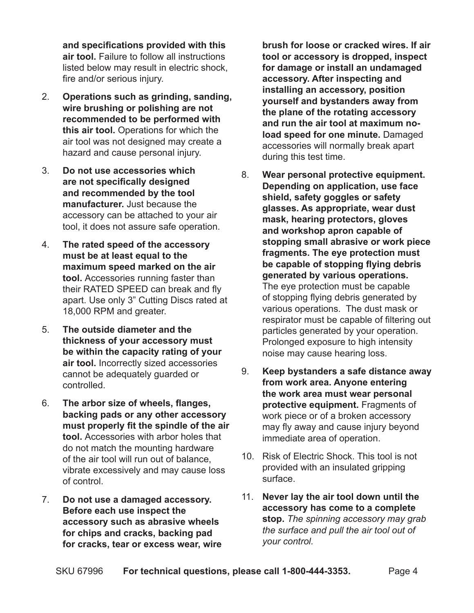**and specifications provided with this air tool.** Failure to follow all instructions listed below may result in electric shock, fire and/or serious injury.

- 2. **Operations such as grinding, sanding, wire brushing or polishing are not recommended to be performed with this air tool.** Operations for which the air tool was not designed may create a hazard and cause personal injury.
- 3. **Do not use accessories which are not specifically designed and recommended by the tool manufacturer.** Just because the accessory can be attached to your air tool, it does not assure safe operation.
- 4. **The rated speed of the accessory must be at least equal to the maximum speed marked on the air tool.** Accessories running faster than their RATED SPEED can break and fly apart. Use only 3" Cutting Discs rated at 18,000 RPM and greater.
- 5. **The outside diameter and the thickness of your accessory must be within the capacity rating of your air tool.** Incorrectly sized accessories cannot be adequately guarded or controlled.
- 6. **The arbor size of wheels, flanges, backing pads or any other accessory must properly fit the spindle of the air tool.** Accessories with arbor holes that do not match the mounting hardware of the air tool will run out of balance, vibrate excessively and may cause loss of control.
- 7. **Do not use a damaged accessory. Before each use inspect the accessory such as abrasive wheels for chips and cracks, backing pad for cracks, tear or excess wear, wire**

**brush for loose or cracked wires. If air tool or accessory is dropped, inspect for damage or install an undamaged accessory. After inspecting and installing an accessory, position yourself and bystanders away from the plane of the rotating accessory and run the air tool at maximum noload speed for one minute.** Damaged accessories will normally break apart during this test time.

- 8. **Wear personal protective equipment. Depending on application, use face shield, safety goggles or safety glasses. As appropriate, wear dust mask, hearing protectors, gloves and workshop apron capable of stopping small abrasive or work piece fragments. The eye protection must be capable of stopping flying debris generated by various operations.** The eye protection must be capable of stopping flying debris generated by various operations. The dust mask or respirator must be capable of filtering out particles generated by your operation. Prolonged exposure to high intensity noise may cause hearing loss.
- 9. **Keep bystanders a safe distance away from work area. Anyone entering the work area must wear personal protective equipment.** Fragments of work piece or of a broken accessory may fly away and cause injury beyond immediate area of operation.
- 10. Risk of Electric Shock. This tool is not provided with an insulated gripping surface.
- 11. **Never lay the air tool down until the accessory has come to a complete stop.** *The spinning accessory may grab the surface and pull the air tool out of your control.*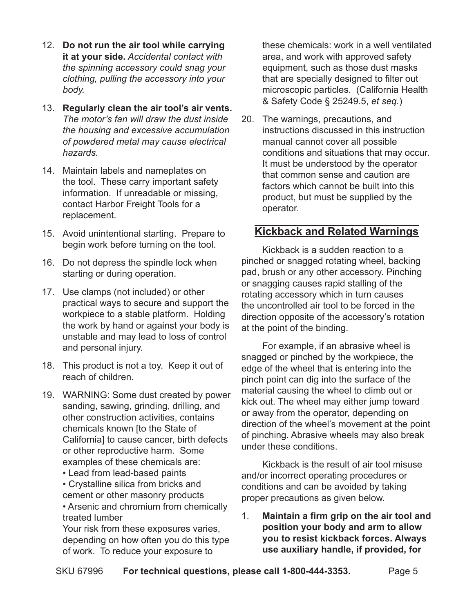- 12. **Do not run the air tool while carrying it at your side.** *Accidental contact with the spinning accessory could snag your clothing, pulling the accessory into your body.*
- 13. **Regularly clean the air tool's air vents.** *The motor's fan will draw the dust inside the housing and excessive accumulation of powdered metal may cause electrical hazards.*
- 14. Maintain labels and nameplates on the tool. These carry important safety information. If unreadable or missing, contact Harbor Freight Tools for a replacement.
- 15. Avoid unintentional starting. Prepare to begin work before turning on the tool.
- 16. Do not depress the spindle lock when starting or during operation.
- 17. Use clamps (not included) or other practical ways to secure and support the workpiece to a stable platform. Holding the work by hand or against your body is unstable and may lead to loss of control and personal injury.
- 18. This product is not a toy. Keep it out of reach of children.
- 19. WARNING: Some dust created by power sanding, sawing, grinding, drilling, and other construction activities, contains chemicals known [to the State of California] to cause cancer, birth defects or other reproductive harm. Some examples of these chemicals are:
	- Lead from lead-based paints
	- Crystalline silica from bricks and cement or other masonry products
	- Arsenic and chromium from chemically treated lumber

Your risk from these exposures varies, depending on how often you do this type of work. To reduce your exposure to

these chemicals: work in a well ventilated area, and work with approved safety equipment, such as those dust masks that are specially designed to filter out microscopic particles. (California Health & Safety Code § 25249.5, *et seq.*)

20. The warnings, precautions, and instructions discussed in this instruction manual cannot cover all possible conditions and situations that may occur. It must be understood by the operator that common sense and caution are factors which cannot be built into this product, but must be supplied by the operator.

#### **Kickback and Related Warnings**

Kickback is a sudden reaction to a pinched or snagged rotating wheel, backing pad, brush or any other accessory. Pinching or snagging causes rapid stalling of the rotating accessory which in turn causes the uncontrolled air tool to be forced in the direction opposite of the accessory's rotation at the point of the binding.

For example, if an abrasive wheel is snagged or pinched by the workpiece, the edge of the wheel that is entering into the pinch point can dig into the surface of the material causing the wheel to climb out or kick out. The wheel may either jump toward or away from the operator, depending on direction of the wheel's movement at the point of pinching. Abrasive wheels may also break under these conditions.

Kickback is the result of air tool misuse and/or incorrect operating procedures or conditions and can be avoided by taking proper precautions as given below.

1. **Maintain a firm grip on the air tool and position your body and arm to allow you to resist kickback forces. Always use auxiliary handle, if provided, for**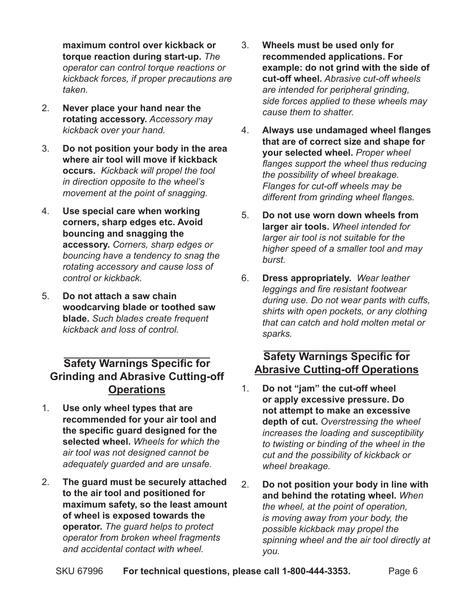**maximum control over kickback or torque reaction during start-up.** *The operator can control torque reactions or kickback forces, if proper precautions are taken.*

- 2. **Never place your hand near the rotating accessory.** *Accessory may kickback over your hand.*
- 3. **Do not position your body in the area where air tool will move if kickback occurs.** *Kickback will propel the tool in direction opposite to the wheel's movement at the point of snagging.*
- 4. **Use special care when working corners, sharp edges etc. Avoid bouncing and snagging the accessory.** *Corners, sharp edges or bouncing have a tendency to snag the rotating accessory and cause loss of control or kickback.*
- 5. **Do not attach a saw chain woodcarving blade or toothed saw blade.** *Such blades create frequent kickback and loss of control.*

#### **Safety Warnings Specific for Grinding and Abrasive Cutting-off Operations**

- 1. **Use only wheel types that are recommended for your air tool and the specific guard designed for the selected wheel.** *Wheels for which the air tool was not designed cannot be adequately guarded and are unsafe.*
- 2. **The guard must be securely attached to the air tool and positioned for maximum safety, so the least amount of wheel is exposed towards the operator.** *The guard helps to protect operator from broken wheel fragments and accidental contact with wheel.*
- 3. **Wheels must be used only for recommended applications. For example: do not grind with the side of cut-off wheel.** *Abrasive cut-off wheels are intended for peripheral grinding, side forces applied to these wheels may cause them to shatter.*
- 4. **Always use undamaged wheel flanges that are of correct size and shape for your selected wheel.** *Proper wheel flanges support the wheel thus reducing the possibility of wheel breakage. Flanges for cut-off wheels may be different from grinding wheel flanges.*
- 5. **Do not use worn down wheels from larger air tools.** *Wheel intended for larger air tool is not suitable for the higher speed of a smaller tool and may burst.*
- 6. **Dress appropriately.** *Wear leather leggings and fire resistant footwear during use. Do not wear pants with cuffs, shirts with open pockets, or any clothing that can catch and hold molten metal or sparks.*

#### **Safety Warnings Specific for Abrasive Cutting-off Operations**

- 1. **Do not "jam" the cut-off wheel or apply excessive pressure. Do not attempt to make an excessive depth of cut.** *Overstressing the wheel increases the loading and susceptibility to twisting or binding of the wheel in the cut and the possibility of kickback or wheel breakage.*
- 2. **Do not position your body in line with and behind the rotating wheel.** *When the wheel, at the point of operation, is moving away from your body, the possible kickback may propel the spinning wheel and the air tool directly at you.*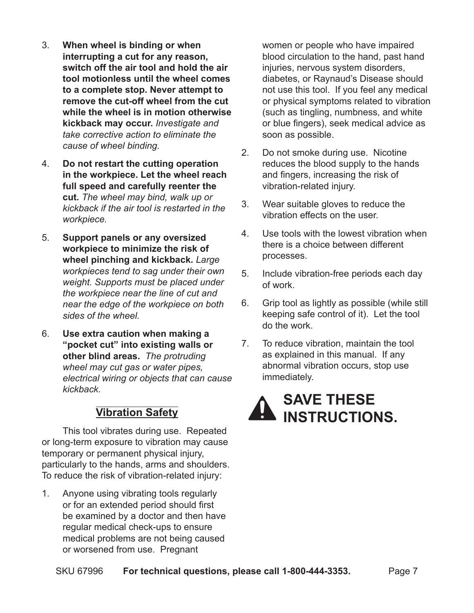- 3. **When wheel is binding or when interrupting a cut for any reason, switch off the air tool and hold the air tool motionless until the wheel comes to a complete stop. Never attempt to remove the cut-off wheel from the cut while the wheel is in motion otherwise kickback may occur.** *Investigate and take corrective action to eliminate the cause of wheel binding.*
- 4. **Do not restart the cutting operation in the workpiece. Let the wheel reach full speed and carefully reenter the cut.** *The wheel may bind, walk up or kickback if the air tool is restarted in the workpiece.*
- 5. **Support panels or any oversized workpiece to minimize the risk of wheel pinching and kickback.** *Large workpieces tend to sag under their own weight. Supports must be placed under the workpiece near the line of cut and near the edge of the workpiece on both sides of the wheel.*
- 6. **Use extra caution when making a "pocket cut" into existing walls or other blind areas.** *The protruding wheel may cut gas or water pipes, electrical wiring or objects that can cause kickback.*

#### **Vibration Safety**

This tool vibrates during use. Repeated or long-term exposure to vibration may cause temporary or permanent physical injury, particularly to the hands, arms and shoulders. To reduce the risk of vibration-related injury:

1. Anyone using vibrating tools regularly or for an extended period should first be examined by a doctor and then have regular medical check-ups to ensure medical problems are not being caused or worsened from use. Pregnant

women or people who have impaired blood circulation to the hand, past hand injuries, nervous system disorders, diabetes, or Raynaud's Disease should not use this tool. If you feel any medical or physical symptoms related to vibration (such as tingling, numbness, and white or blue fingers), seek medical advice as soon as possible.

- 2. Do not smoke during use. Nicotine reduces the blood supply to the hands and fingers, increasing the risk of vibration-related injury.
- 3. Wear suitable gloves to reduce the vibration effects on the user.
- 4. Use tools with the lowest vibration when there is a choice between different processes.
- 5. Include vibration-free periods each day of work.
- 6. Grip tool as lightly as possible (while still keeping safe control of it). Let the tool do the work.
- 7. To reduce vibration, maintain the tool as explained in this manual. If any abnormal vibration occurs, stop use immediately.

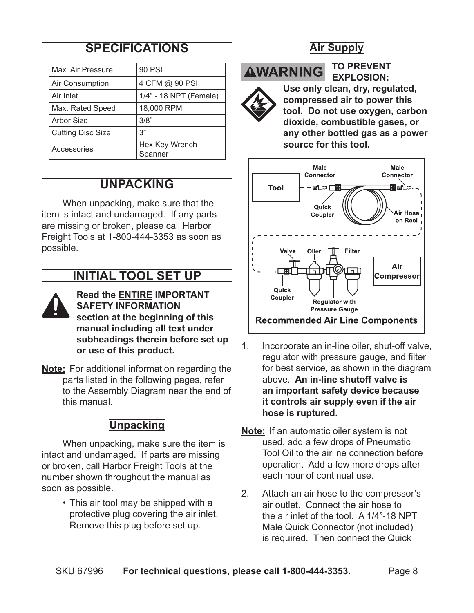# **Specifications**

| Max. Air Pressure        | 90 PSI                    |
|--------------------------|---------------------------|
| Air Consumption          | 4 CFM @ 90 PSI            |
| Air Inlet                | 1/4" - 18 NPT (Female)    |
| Max. Rated Speed         | 18,000 RPM                |
| <b>Arbor Size</b>        | 3/8"                      |
| <b>Cutting Disc Size</b> | 3"                        |
| Accessories              | Hex Key Wrench<br>Spanner |

### **Unpacking**

When unpacking, make sure that the item is intact and undamaged. If any parts are missing or broken, please call Harbor Freight Tools at 1‑800‑444‑3353 as soon as possible.

## **Initial Tool Set Up**

- **Read the ENTIRE IMPORTANT Safety Information section at the beginning of this manual including all text under subheadings therein before set up or use of this product.**
- **Note:** For additional information regarding the parts listed in the following pages, refer to the Assembly Diagram near the end of this manual.

#### **Unpacking**

When unpacking, make sure the item is intact and undamaged. If parts are missing or broken, call Harbor Freight Tools at the number shown throughout the manual as soon as possible.

> • This air tool may be shipped with a protective plug covering the air inlet. Remove this plug before set up.

#### **Air Supply**

**AWARNING** 

#### **To prevent explosion:**



**Use only clean, dry, regulated, compressed air to power this tool. Do not use oxygen, carbon dioxide, combustible gases, or any other bottled gas as a power source for this tool.**



- 1. Incorporate an in-line oiler, shut-off valve, regulator with pressure gauge, and filter for best service, as shown in the diagram above. **An in-line shutoff valve is an important safety device because it controls air supply even if the air hose is ruptured.**
- **Note:** If an automatic oiler system is not used, add a few drops of Pneumatic Tool Oil to the airline connection before operation. Add a few more drops after each hour of continual use.
- 2. Attach an air hose to the compressor's air outlet. Connect the air hose to the air inlet of the tool. A 1/4"-18 NPT Male Quick Connector (not included) is required. Then connect the Quick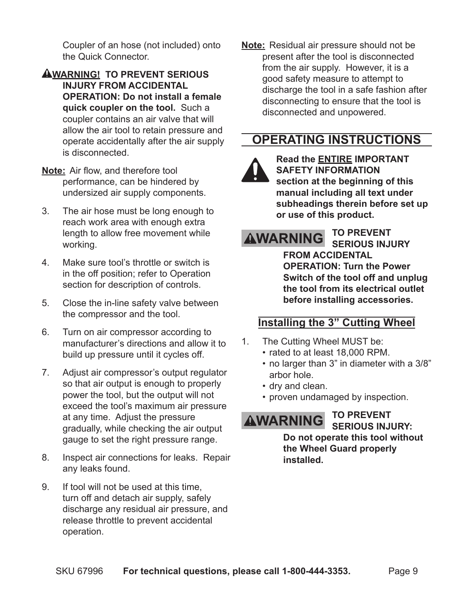Coupler of an hose (not included) onto the Quick Connector.

- **WARNING! To prevent serious injury from accidental operation: Do not install a female quick coupler on the tool.** Such a coupler contains an air valve that will allow the air tool to retain pressure and operate accidentally after the air supply is disconnected.
- **Note:** Air flow, and therefore tool performance, can be hindered by undersized air supply components.
- 3. The air hose must be long enough to reach work area with enough extra length to allow free movement while working.
- 4. Make sure tool's throttle or switch is in the off position; refer to Operation section for description of controls.
- 5. Close the in-line safety valve between the compressor and the tool.
- 6. Turn on air compressor according to manufacturer's directions and allow it to build up pressure until it cycles off.
- 7. Adjust air compressor's output regulator so that air output is enough to properly power the tool, but the output will not exceed the tool's maximum air pressure at any time. Adjust the pressure gradually, while checking the air output gauge to set the right pressure range.
- 8. Inspect air connections for leaks. Repair any leaks found.
- 9. If tool will not be used at this time, turn off and detach air supply, safely discharge any residual air pressure, and release throttle to prevent accidental operation.

**Note:** Residual air pressure should not be present after the tool is disconnected from the air supply. However, it is a good safety measure to attempt to discharge the tool in a safe fashion after disconnecting to ensure that the tool is disconnected and unpowered.

# **Operating Instructions**



**Read the ENTIRE IMPORTANT Safety Information section at the beginning of this manual including all text under subheadings therein before set up or use of this product.**

# **AWARNING TO PREVENT**

**serious injury from accidental operation: Turn the Power Switch of the tool off and unplug the tool from its electrical outlet before installing accessories.**

#### **Installing the 3" Cutting Wheel**

- 1. The Cutting Wheel MUST be:
	- rated to at least 18,000 RPM.
	- no larger than 3" in diameter with a 3/8" arbor hole.
	- dry and clean.
	- proven undamaged by inspection.

**AWARNING TO PREVENT** 

**SERIOUS INJURY: Do not operate this tool without the Wheel Guard properly installed.**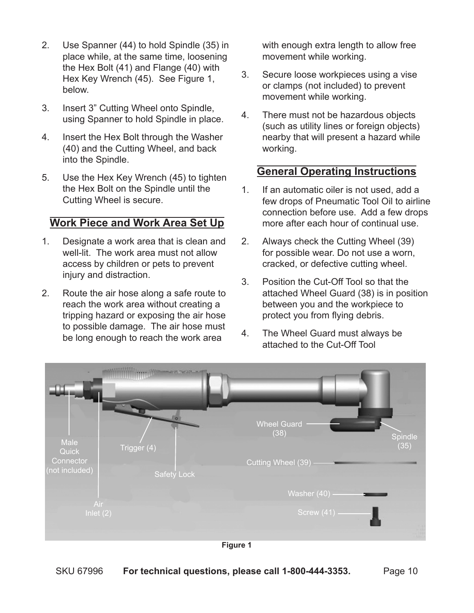- 2. Use Spanner (44) to hold Spindle (35) in place while, at the same time, loosening the Hex Bolt (41) and Flange (40) with Hex Key Wrench (45). See Figure 1, below.
- 3. Insert 3" Cutting Wheel onto Spindle, using Spanner to hold Spindle in place.
- 4. Insert the Hex Bolt through the Washer (40) and the Cutting Wheel, and back into the Spindle.
- 5. Use the Hex Key Wrench (45) to tighten the Hex Bolt on the Spindle until the Cutting Wheel is secure.

#### **Work Piece and Work Area Set Up**

- 1. Designate a work area that is clean and well-lit. The work area must not allow access by children or pets to prevent injury and distraction.
- 2. Route the air hose along a safe route to reach the work area without creating a tripping hazard or exposing the air hose to possible damage. The air hose must be long enough to reach the work area

with enough extra length to allow free movement while working.

- 3. Secure loose workpieces using a vise or clamps (not included) to prevent movement while working.
- 4. There must not be hazardous objects (such as utility lines or foreign objects) nearby that will present a hazard while working.

#### **General Operating Instructions**

- 1. If an automatic oiler is not used, add a few drops of Pneumatic Tool Oil to airline connection before use. Add a few drops more after each hour of continual use.
- 2. Always check the Cutting Wheel (39) for possible wear. Do not use a worn, cracked, or defective cutting wheel.
- 3. Position the Cut-Off Tool so that the attached Wheel Guard (38) is in position between you and the workpiece to protect you from flying debris.
- 4. The Wheel Guard must always be attached to the Cut-Off Tool



**Figure 1**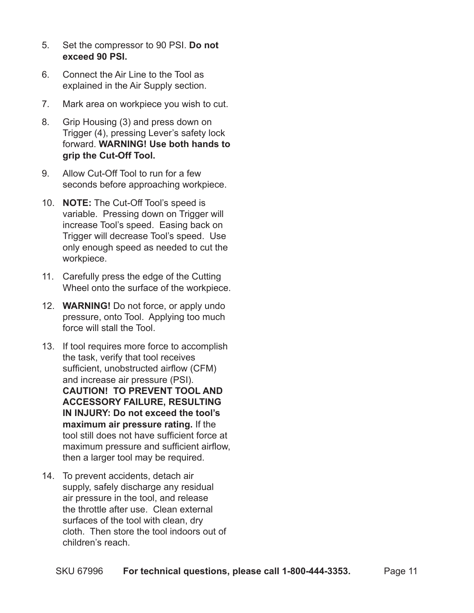- 5. Set the compressor to 90 PSI. **Do not exceed 90 PSI.**
- 6. Connect the Air Line to the Tool as explained in the Air Supply section.
- 7. Mark area on workpiece you wish to cut.
- 8. Grip Housing (3) and press down on Trigger (4), pressing Lever's safety lock forward. **WARNING! Use both hands to grip the Cut-Off Tool.**
- 9. Allow Cut-Off Tool to run for a few seconds before approaching workpiece.
- 10. **NOTE:** The Cut-Off Tool's speed is variable. Pressing down on Trigger will increase Tool's speed. Easing back on Trigger will decrease Tool's speed. Use only enough speed as needed to cut the workpiece.
- 11. Carefully press the edge of the Cutting Wheel onto the surface of the workpiece.
- 12. **WARNING!** Do not force, or apply undo pressure, onto Tool. Applying too much force will stall the Tool.
- 13. If tool requires more force to accomplish the task, verify that tool receives sufficient, unobstructed airflow (CFM) and increase air pressure (PSI). **CAUTION! To prevent tool and accessory failure, resulting in injury: Do not exceed the tool's maximum air pressure rating.** If the tool still does not have sufficient force at maximum pressure and sufficient airflow, then a larger tool may be required.
- 14. To prevent accidents, detach air supply, safely discharge any residual air pressure in the tool, and release the throttle after use. Clean external surfaces of the tool with clean, dry cloth. Then store the tool indoors out of children's reach.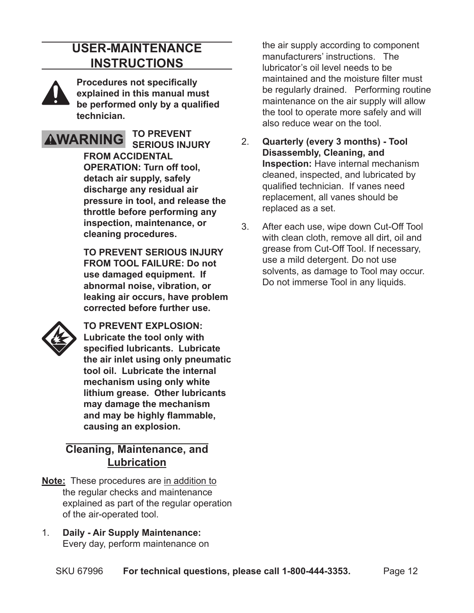## **User-Maintenance Instructions**



**Procedures not specifically explained in this manual must be performed only by a qualified technician.**



**To prevent serious injury from accidental operation: Turn off tool, detach air supply, safely discharge any residual air pressure in tool, and release the throttle before performing any inspection, maintenance, or cleaning procedures.**

**To prevent serious injury from tool failure: Do not use damaged equipment. If abnormal noise, vibration, or leaking air occurs, have problem corrected before further use.**



**To prevent explosion: Lubricate the tool only with specified lubricants. Lubricate the air inlet using only pneumatic tool oil. Lubricate the internal mechanism using only white lithium grease. Other lubricants may damage the mechanism and may be highly flammable, causing an explosion.**

#### **Cleaning, Maintenance, and Lubrication**

- **Note:** These procedures are in addition to the regular checks and maintenance explained as part of the regular operation of the air-operated tool.
- 1. **Daily Air Supply Maintenance:** Every day, perform maintenance on

the air supply according to component manufacturers' instructions. The lubricator's oil level needs to be maintained and the moisture filter must be regularly drained. Performing routine maintenance on the air supply will allow the tool to operate more safely and will also reduce wear on the tool.

- 2. **Quarterly (every 3 months) Tool Disassembly, Cleaning, and Inspection:** Have internal mechanism cleaned, inspected, and lubricated by qualified technician. If vanes need replacement, all vanes should be replaced as a set.
- 3. After each use, wipe down Cut-Off Tool with clean cloth, remove all dirt, oil and grease from Cut-Off Tool. If necessary, use a mild detergent. Do not use solvents, as damage to Tool may occur. Do not immerse Tool in any liquids.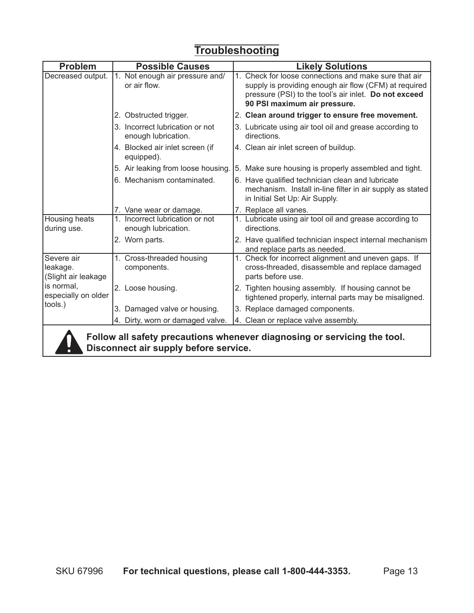# **Troubleshooting**

| <b>Problem</b>                                                                                                    | <b>Possible Causes</b>                                 | <b>Likely Solutions</b>                                                                                                                                                                                 |  |  |  |
|-------------------------------------------------------------------------------------------------------------------|--------------------------------------------------------|---------------------------------------------------------------------------------------------------------------------------------------------------------------------------------------------------------|--|--|--|
| Decreased output.                                                                                                 | 1. Not enough air pressure and/<br>or air flow.        | 1. Check for loose connections and make sure that air<br>supply is providing enough air flow (CFM) at required<br>pressure (PSI) to the tool's air inlet. Do not exceed<br>90 PSI maximum air pressure. |  |  |  |
|                                                                                                                   | 2. Obstructed trigger.                                 | 2. Clean around trigger to ensure free movement.                                                                                                                                                        |  |  |  |
|                                                                                                                   | 3. Incorrect lubrication or not<br>enough lubrication. | 3. Lubricate using air tool oil and grease according to<br>directions.                                                                                                                                  |  |  |  |
|                                                                                                                   | 4. Blocked air inlet screen (if<br>equipped).          | 4. Clean air inlet screen of buildup.                                                                                                                                                                   |  |  |  |
|                                                                                                                   | 5. Air leaking from loose housing.                     | 5. Make sure housing is properly assembled and tight.                                                                                                                                                   |  |  |  |
|                                                                                                                   | 6. Mechanism contaminated.                             | 6. Have qualified technician clean and lubricate<br>mechanism. Install in-line filter in air supply as stated<br>in Initial Set Up: Air Supply.                                                         |  |  |  |
|                                                                                                                   | 7. Vane wear or damage.                                | 7. Replace all vanes.                                                                                                                                                                                   |  |  |  |
| Housing heats<br>during use.                                                                                      | 1. Incorrect lubrication or not<br>enough lubrication. | 1. Lubricate using air tool oil and grease according to<br>directions.                                                                                                                                  |  |  |  |
|                                                                                                                   | 2. Worn parts.                                         | 2. Have qualified technician inspect internal mechanism<br>and replace parts as needed.                                                                                                                 |  |  |  |
| Severe air<br>leakage.<br>(Slight air leakage<br>is normal.<br>especially on older                                | 1. Cross-threaded housing<br>components.               | 1. Check for incorrect alignment and uneven gaps. If<br>cross-threaded, disassemble and replace damaged<br>parts before use.                                                                            |  |  |  |
|                                                                                                                   | 2. Loose housing.                                      | 2. Tighten housing assembly. If housing cannot be<br>tightened properly, internal parts may be misaligned.                                                                                              |  |  |  |
| tools.)                                                                                                           | 3. Damaged valve or housing.                           | 3. Replace damaged components.                                                                                                                                                                          |  |  |  |
|                                                                                                                   | 4. Dirty, worn or damaged valve.                       | 4. Clean or replace valve assembly.                                                                                                                                                                     |  |  |  |
| Follow all safety precautions whenever diagnosing or servicing the tool.<br>Disconnect air supply before service. |                                                        |                                                                                                                                                                                                         |  |  |  |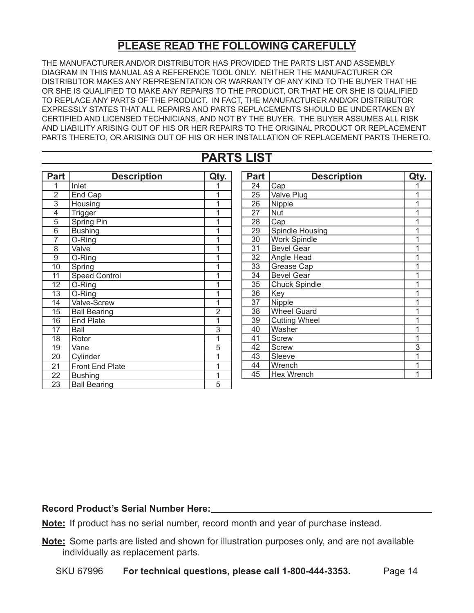#### **PLEASE READ THE FOLLOWING CAREFULLY**

The manufacturer and/or distributor has provided the parts list and assembly diagram in this manual as a reference tool only. Neither the manufacturer or distributor makes any representation or warranty of any kind to the buyer that he or she is qualified to make any repairs to the product, or that he or she is qualified to replace any parts of the product. In fact, the manufacturer and/or distributor expressly states that all repairs and parts replacements should be undertaken by certified and licensed technicians, and not by the buyer. The buyer assumes all risk and liability arising out of his or her repairs to the original product or replacement parts thereto, or arising out of his or her installation of replacement parts thereto.

#### **Parts List**

| <b>Part</b>     | <b>Description</b>     | Qty.                      |
|-----------------|------------------------|---------------------------|
| 1               | Inlet                  | 1                         |
| $\overline{2}$  | End Cap                | $\overline{1}$            |
| $\overline{3}$  | Housing                | $\overline{1}$            |
| 4               | Trigger                | $\overline{1}$            |
| 5               | <b>Spring Pin</b>      | $\overline{1}$            |
| $\overline{6}$  | <b>Bushing</b>         | $\overline{1}$            |
| $\overline{7}$  | O-Ring                 | 1                         |
| 8               | Valve                  | 1                         |
| 9               | O-Ring                 | 1                         |
| 10              | Spring                 | 1                         |
| 11              | <b>Speed Control</b>   | 1                         |
| 12              | O-Ring                 | $\overline{1}$            |
| 13              | O-Ring                 | $\overline{1}$            |
| 14              | Valve-Screw            | 1                         |
| $\overline{15}$ | <b>Ball Bearing</b>    | $\overline{2}$            |
| 16              | <b>End Plate</b>       | $\overline{\mathfrak{1}}$ |
| $\overline{17}$ | Ball                   | $\frac{3}{1}$             |
| 18              | Rotor                  |                           |
| 19              | Vane                   | 5                         |
| $\overline{20}$ | Cylinder               | 1                         |
| 21              | <b>Front End Plate</b> | 1                         |
| 22              | <b>Bushing</b>         | 1                         |
| 23              | <b>Ball Bearing</b>    | 5                         |

| <b>Part</b> | <b>Description</b>   | Qty.           |
|-------------|----------------------|----------------|
| 24          | Cap                  |                |
| 25          | Valve Plug           | 1              |
| 26          | Nipple               | $\overline{1}$ |
| 27          | <b>Nut</b>           | 1              |
| 28          | Cap                  | 1              |
| 29          | Spindle Housing      | 1              |
| 30          | <b>Work Spindle</b>  | 1              |
| 31          | <b>Bevel Gear</b>    | 1              |
| 32          | Angle Head           | 1              |
| 33          | Grease Cap           | 1              |
| 34          | <b>Bevel Gear</b>    | 1              |
| 35          | <b>Chuck Spindle</b> | 1              |
| 36          | Key                  | 1              |
| 37          | Nipple               | 1              |
| 38          | <b>Wheel Guard</b>   | 1              |
| 39          | <b>Cutting Wheel</b> | 1              |
| 40          | Washer               | 1              |
| 41          | Screw                | 1              |
| 42          | Screw                | 3              |
| 43          | Sleeve               | 1              |
| 44          | Wrench               | 1              |
| 45          | Hex Wrench           | 1              |

#### **Record Product's Serial Number Here:**

**Note:** If product has no serial number, record month and year of purchase instead.

**Note:** Some parts are listed and shown for illustration purposes only, and are not available individually as replacement parts.

SKU 67996 **For technical questions, please call 1-800-444-3353.** Page 14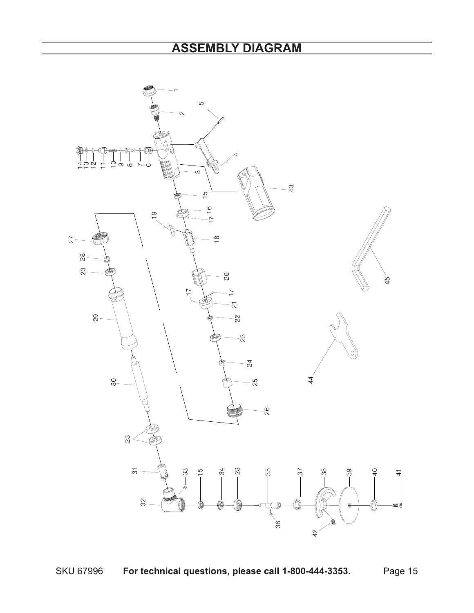### **ASSEMBLY DIAGRAM**